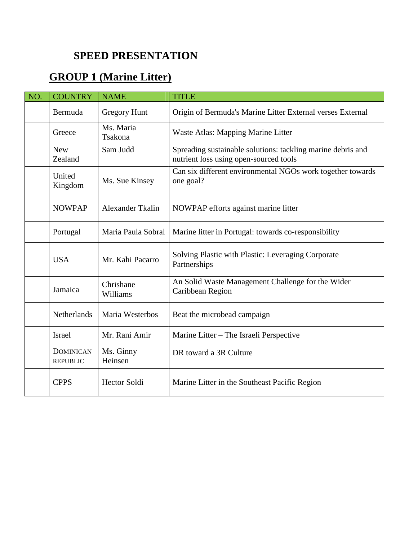## **SPEED PRESENTATION**

## **GROUP 1 (Marine Litter)**

| NO. | <b>COUNTRY</b>                      | <b>NAME</b>           | <b>TITLE</b>                                                                                          |
|-----|-------------------------------------|-----------------------|-------------------------------------------------------------------------------------------------------|
|     | Bermuda                             | Gregory Hunt          | Origin of Bermuda's Marine Litter External verses External                                            |
|     | Greece                              | Ms. Maria<br>Tsakona  | Waste Atlas: Mapping Marine Litter                                                                    |
|     | <b>New</b><br>Zealand               | Sam Judd              | Spreading sustainable solutions: tackling marine debris and<br>nutrient loss using open-sourced tools |
|     | United<br>Kingdom                   | Ms. Sue Kinsey        | Can six different environmental NGOs work together towards<br>one goal?                               |
|     | <b>NOWPAP</b>                       | Alexander Tkalin      | NOWPAP efforts against marine litter                                                                  |
|     | Portugal                            | Maria Paula Sobral    | Marine litter in Portugal: towards co-responsibility                                                  |
|     | <b>USA</b>                          | Mr. Kahi Pacarro      | Solving Plastic with Plastic: Leveraging Corporate<br>Partnerships                                    |
|     | Jamaica                             | Chrishane<br>Williams | An Solid Waste Management Challenge for the Wider<br>Caribbean Region                                 |
|     | Netherlands                         | Maria Westerbos       | Beat the microbead campaign                                                                           |
|     | Israel                              | Mr. Rani Amir         | Marine Litter – The Israeli Perspective                                                               |
|     | <b>DOMINICAN</b><br><b>REPUBLIC</b> | Ms. Ginny<br>Heinsen  | DR toward a 3R Culture                                                                                |
|     | <b>CPPS</b>                         | <b>Hector Soldi</b>   | Marine Litter in the Southeast Pacific Region                                                         |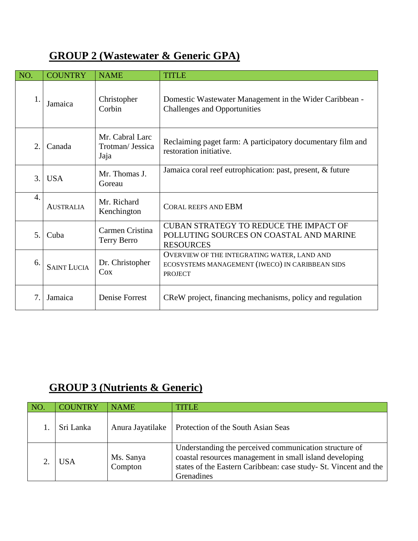## **GROUP 2 (Wastewater & Generic GPA)**

| NO.              | <b>COUNTRY</b>     | <b>NAME</b>                                 | <b>TITLE</b>                                                                                                     |
|------------------|--------------------|---------------------------------------------|------------------------------------------------------------------------------------------------------------------|
| 1.               | Jamaica            | Christopher<br>Corbin                       | Domestic Wastewater Management in the Wider Caribbean -<br><b>Challenges and Opportunities</b>                   |
| 2.               | Canada             | Mr. Cabral Larc<br>Trotman/ Jessica<br>Jaja | Reclaiming paget farm: A participatory documentary film and<br>restoration initiative.                           |
| 3.               | <b>USA</b>         | Mr. Thomas J.<br>Goreau                     | Jamaica coral reef eutrophication: past, present, & future                                                       |
| $\overline{4}$ . | <b>AUSTRALIA</b>   | Mr. Richard<br>Kenchington                  | <b>CORAL REEFS AND EBM</b>                                                                                       |
| 5 <sub>1</sub>   | Cuba               | Carmen Cristina<br><b>Terry Berro</b>       | CUBAN STRATEGY TO REDUCE THE IMPACT OF<br>POLLUTING SOURCES ON COASTAL AND MARINE<br><b>RESOURCES</b>            |
| 6.               | <b>SAINT LUCIA</b> | Dr. Christopher<br>Cox                      | OVERVIEW OF THE INTEGRATING WATER, LAND AND<br>ECOSYSTEMS MANAGEMENT (IWECO) IN CARIBBEAN SIDS<br><b>PROJECT</b> |
| 7.               | Jamaica            | Denise Forrest                              | CReW project, financing mechanisms, policy and regulation                                                        |

## **GROUP 3 (Nutrients & Generic)**

| NO. | <b>COUNTRY</b> | <b>NAME</b>          | TITLE                                                                                                                                                                                               |
|-----|----------------|----------------------|-----------------------------------------------------------------------------------------------------------------------------------------------------------------------------------------------------|
|     | Sri Lanka      | Anura Jayatilake     | Protection of the South Asian Seas                                                                                                                                                                  |
|     | USA            | Ms. Sanya<br>Compton | Understanding the perceived communication structure of<br>coastal resources management in small island developing<br>states of the Eastern Caribbean: case study- St. Vincent and the<br>Grenadines |